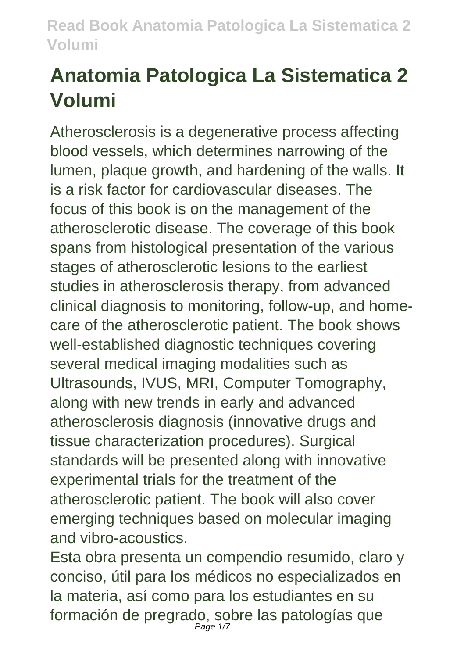# **Anatomia Patologica La Sistematica 2 Volumi**

Atherosclerosis is a degenerative process affecting blood vessels, which determines narrowing of the lumen, plaque growth, and hardening of the walls. It is a risk factor for cardiovascular diseases. The focus of this book is on the management of the atherosclerotic disease. The coverage of this book spans from histological presentation of the various stages of atherosclerotic lesions to the earliest studies in atherosclerosis therapy, from advanced clinical diagnosis to monitoring, follow-up, and homecare of the atherosclerotic patient. The book shows well-established diagnostic techniques covering several medical imaging modalities such as Ultrasounds, IVUS, MRI, Computer Tomography, along with new trends in early and advanced atherosclerosis diagnosis (innovative drugs and tissue characterization procedures). Surgical standards will be presented along with innovative experimental trials for the treatment of the atherosclerotic patient. The book will also cover emerging techniques based on molecular imaging and vibro-acoustics.

Esta obra presenta un compendio resumido, claro y conciso, útil para los médicos no especializados en la materia, así como para los estudiantes en su formación de pregrado, sobre las patologías que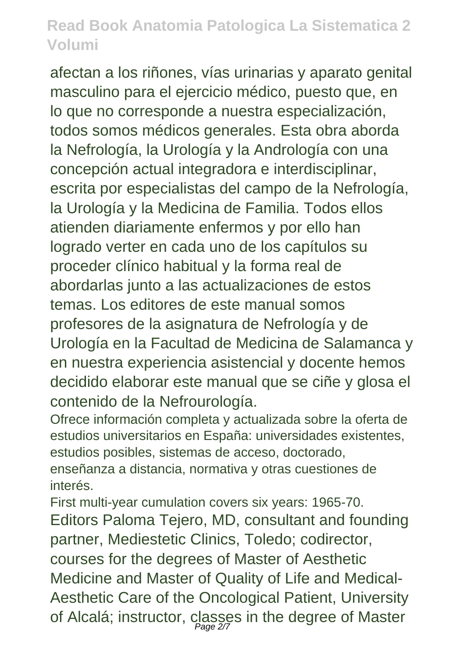afectan a los riñones, vías urinarias y aparato genital masculino para el ejercicio médico, puesto que, en lo que no corresponde a nuestra especialización, todos somos médicos generales. Esta obra aborda la Nefrología, la Urología y la Andrología con una concepción actual integradora e interdisciplinar, escrita por especialistas del campo de la Nefrología, la Urología y la Medicina de Familia. Todos ellos atienden diariamente enfermos y por ello han logrado verter en cada uno de los capítulos su proceder clínico habitual y la forma real de abordarlas junto a las actualizaciones de estos temas. Los editores de este manual somos profesores de la asignatura de Nefrología y de Urología en la Facultad de Medicina de Salamanca y en nuestra experiencia asistencial y docente hemos decidido elaborar este manual que se ciñe y glosa el contenido de la Nefrourología.

Ofrece información completa y actualizada sobre la oferta de estudios universitarios en España: universidades existentes, estudios posibles, sistemas de acceso, doctorado,

enseñanza a distancia, normativa y otras cuestiones de interés.

First multi-year cumulation covers six years: 1965-70. Editors Paloma Tejero, MD, consultant and founding partner, Mediestetic Clinics, Toledo; codirector, courses for the degrees of Master of Aesthetic Medicine and Master of Quality of Life and Medical-Aesthetic Care of the Oncological Patient, University of Alcalá; instructor, classes in the degree of Master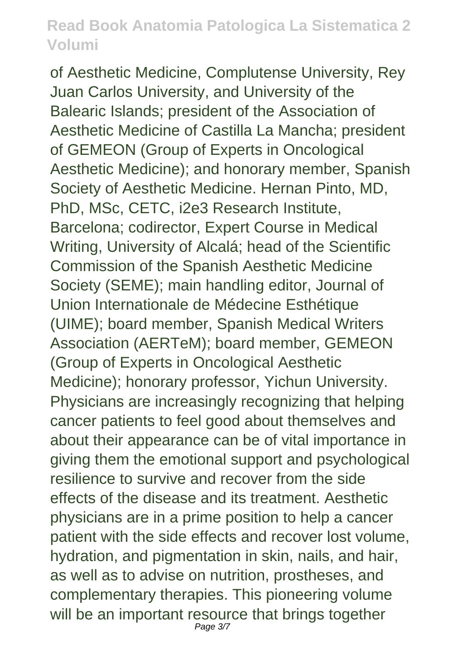of Aesthetic Medicine, Complutense University, Rey Juan Carlos University, and University of the Balearic Islands; president of the Association of Aesthetic Medicine of Castilla La Mancha; president of GEMEON (Group of Experts in Oncological Aesthetic Medicine); and honorary member, Spanish Society of Aesthetic Medicine. Hernan Pinto, MD, PhD, MSc, CETC, i2e3 Research Institute, Barcelona; codirector, Expert Course in Medical Writing, University of Alcalá; head of the Scientific Commission of the Spanish Aesthetic Medicine Society (SEME); main handling editor, Journal of Union Internationale de Médecine Esthétique (UIME); board member, Spanish Medical Writers Association (AERTeM); board member, GEMEON (Group of Experts in Oncological Aesthetic Medicine); honorary professor, Yichun University. Physicians are increasingly recognizing that helping cancer patients to feel good about themselves and about their appearance can be of vital importance in giving them the emotional support and psychological resilience to survive and recover from the side effects of the disease and its treatment. Aesthetic physicians are in a prime position to help a cancer patient with the side effects and recover lost volume, hydration, and pigmentation in skin, nails, and hair, as well as to advise on nutrition, prostheses, and complementary therapies. This pioneering volume will be an important resource that brings together Page 3/7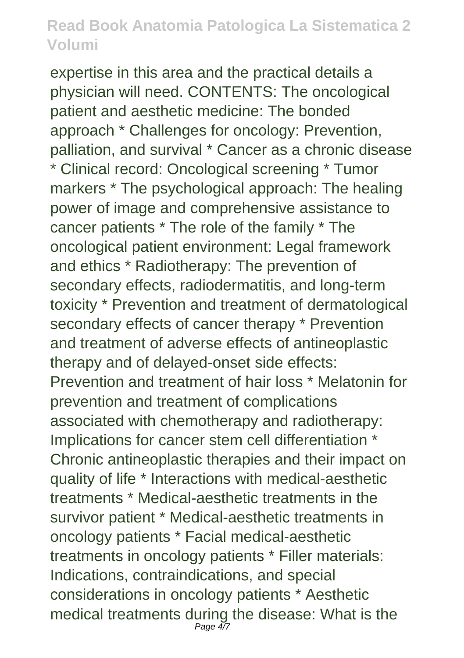expertise in this area and the practical details a physician will need. CONTENTS: The oncological patient and aesthetic medicine: The bonded approach \* Challenges for oncology: Prevention, palliation, and survival \* Cancer as a chronic disease \* Clinical record: Oncological screening \* Tumor markers \* The psychological approach: The healing power of image and comprehensive assistance to cancer patients \* The role of the family \* The oncological patient environment: Legal framework and ethics \* Radiotherapy: The prevention of secondary effects, radiodermatitis, and long-term toxicity \* Prevention and treatment of dermatological secondary effects of cancer therapy \* Prevention and treatment of adverse effects of antineoplastic therapy and of delayed-onset side effects: Prevention and treatment of hair loss \* Melatonin for prevention and treatment of complications associated with chemotherapy and radiotherapy: Implications for cancer stem cell differentiation \* Chronic antineoplastic therapies and their impact on quality of life \* Interactions with medical-aesthetic treatments \* Medical-aesthetic treatments in the survivor patient \* Medical-aesthetic treatments in oncology patients \* Facial medical-aesthetic treatments in oncology patients \* Filler materials: Indications, contraindications, and special considerations in oncology patients \* Aesthetic medical treatments during the disease: What is the Page 4/7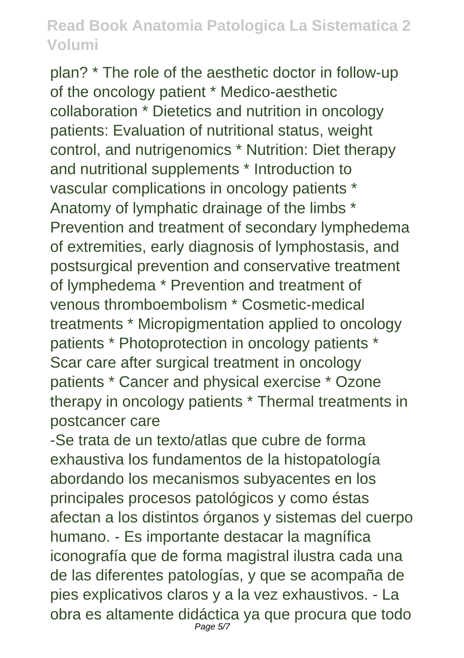plan? \* The role of the aesthetic doctor in follow-up of the oncology patient \* Medico-aesthetic collaboration \* Dietetics and nutrition in oncology patients: Evaluation of nutritional status, weight control, and nutrigenomics \* Nutrition: Diet therapy and nutritional supplements \* Introduction to vascular complications in oncology patients \* Anatomy of lymphatic drainage of the limbs \* Prevention and treatment of secondary lymphedema of extremities, early diagnosis of lymphostasis, and postsurgical prevention and conservative treatment of lymphedema \* Prevention and treatment of venous thromboembolism \* Cosmetic-medical treatments \* Micropigmentation applied to oncology patients \* Photoprotection in oncology patients \* Scar care after surgical treatment in oncology patients \* Cancer and physical exercise \* Ozone therapy in oncology patients \* Thermal treatments in postcancer care

-Se trata de un texto/atlas que cubre de forma exhaustiva los fundamentos de la histopatología abordando los mecanismos subyacentes en los principales procesos patológicos y como éstas afectan a los distintos órganos y sistemas del cuerpo humano. - Es importante destacar la magnífica iconografía que de forma magistral ilustra cada una de las diferentes patologías, y que se acompaña de pies explicativos claros y a la vez exhaustivos. - La obra es altamente didáctica ya que procura que todo Page 5/7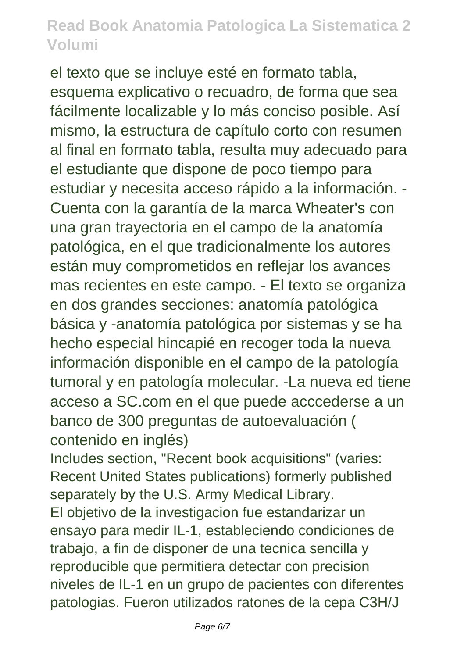el texto que se incluye esté en formato tabla, esquema explicativo o recuadro, de forma que sea fácilmente localizable y lo más conciso posible. Así mismo, la estructura de capítulo corto con resumen al final en formato tabla, resulta muy adecuado para el estudiante que dispone de poco tiempo para estudiar y necesita acceso rápido a la información. - Cuenta con la garantía de la marca Wheater's con una gran trayectoria en el campo de la anatomía patológica, en el que tradicionalmente los autores están muy comprometidos en reflejar los avances mas recientes en este campo. - El texto se organiza en dos grandes secciones: anatomía patológica básica y -anatomía patológica por sistemas y se ha hecho especial hincapié en recoger toda la nueva información disponible en el campo de la patología tumoral y en patología molecular. -La nueva ed tiene acceso a SC.com en el que puede acccederse a un banco de 300 preguntas de autoevaluación ( contenido en inglés)

Includes section, "Recent book acquisitions" (varies: Recent United States publications) formerly published separately by the U.S. Army Medical Library.

El objetivo de la investigacion fue estandarizar un ensayo para medir IL-1, estableciendo condiciones de trabajo, a fin de disponer de una tecnica sencilla y reproducible que permitiera detectar con precision niveles de IL-1 en un grupo de pacientes con diferentes patologias. Fueron utilizados ratones de la cepa C3H/J